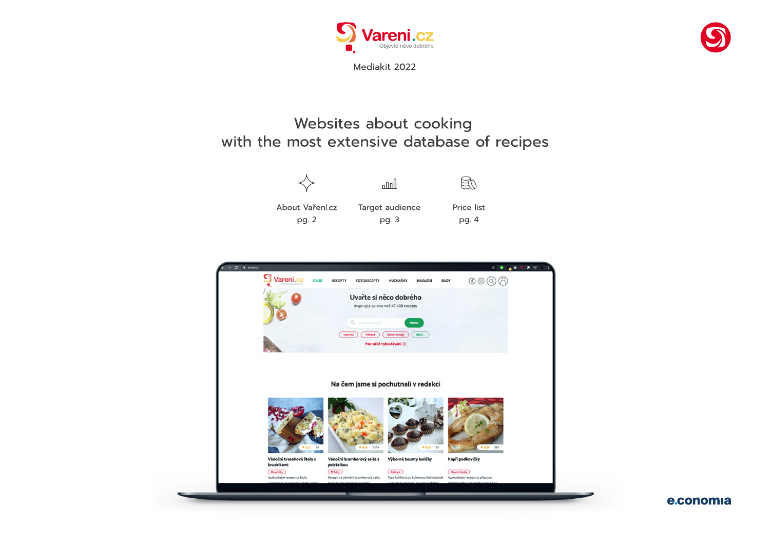

## Websites about cooking with the most extensive database of recipes

pg. 2 pg. 3 pg. 4 About Vaření.cz Target audience Price list











Mediakit 2022

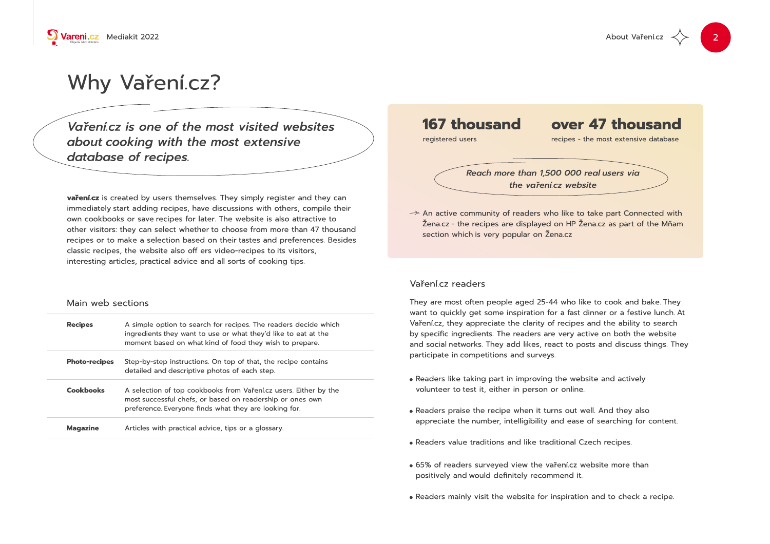

# Why Vaření.cz?

Vaření.cz is one of the most visited websites about cooking with the most extensive database of recipes.

vaření.cz is created by users themselves. They simply register and they can immediately start adding recipes, have discussions with others, compile their own cookbooks or save recipes for later. The website is also attractive to other visitors: they can select whether to choose from more than 47 thousand recipes or to make a selection based on their tastes and preferences. Besides classic recipes, the website also off ers video-recipes to its visitors, interesting articles, practical advice and all sorts of cooking tips.

### Main web sections

| <b>Recipes</b>       | A simple option to search for recipes. The readers decide which<br>ingredients they want to use or what they'd like to eat at the<br>moment based on what kind of food they wish to prepare. |
|----------------------|----------------------------------------------------------------------------------------------------------------------------------------------------------------------------------------------|
| <b>Photo-recipes</b> | Step-by-step instructions. On top of that, the recipe contains<br>detailed and descriptive photos of each step.                                                                              |
| <b>Cookbooks</b>     | A selection of top cookbooks from Varenica users. Either by the<br>most successful chefs, or based on readership or ones own<br>preference. Everyone finds what they are looking for.        |
| <b>Magazine</b>      | Articles with practical advice, tips or a glossary.                                                                                                                                          |

About Vaření.cz





 $\rightarrow$  An active community of readers who like to take part Connected with section which is very popular on Žena.cz

### Vaření.cz readers

They are most often people aged 25-44 who like to cook and bake. They want to quickly get some inspiration for a fast dinner or a festive lunch. At Vaření.cz, they appreciate the clarity of recipes and the ability to search by specific ingredients. The readers are very active on both the website and social networks. They add likes, react to posts and discuss things. They participate in competitions and surveys.

- . Readers like taking part in improving the website and actively volunteer to test it, either in person or online.
- Readers praise the recipe when it turns out well. And they also appreciate the number, intelligibility and ease of searching for content.
- . Readers value traditions and like traditional Czech recipes.
- . 65% of readers surveyed view the vaření.cz website more than positively and would definitely recommend it.
- . Readers mainly visit the website for inspiration and to check a recipe.

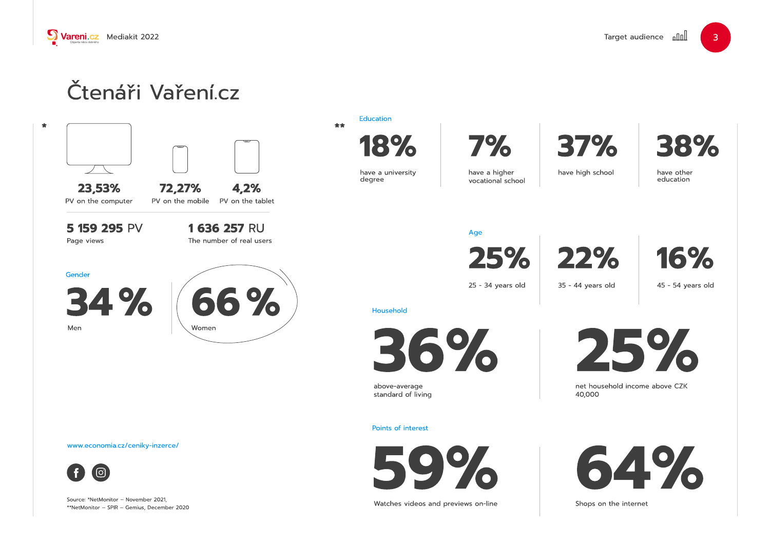

# Čtenáři Vaření.cz

23,53%











above-average standard of living

72,27% 4,2% PV on the computer PV on the mobile PV on the tablet

Watches videos and previews on-line

1 636 257 RU The number of real users

Shops on the internet



5 159 295 PV Page views





have a university degree



have a higher vocational school



Source: \*NetMonitor – November 2021, \*\*NetMonitor – SPIR – Gemius, December 2020

#### **Education**



www.economia.cz/ceniky-inzerce/



#### Age





### Household

#### Points of interest





 $\bullet$